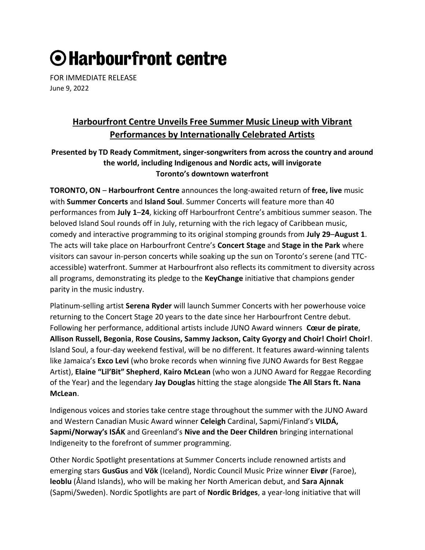# ⊙ Harbourfront centre

FOR IMMEDIATE RELEASE June 9, 2022

# **Harbourfront Centre Unveils Free Summer Music Lineup with Vibrant Performances by Internationally Celebrated Artists**

# **Presented by TD Ready Commitment, singer-songwriters from across the country and around the world, including Indigenous and Nordic acts, will invigorate Toronto's downtown waterfront**

**TORONTO, ON** – **Harbourfront Centre** announces the long-awaited return of **free, live** music with **Summer Concerts** and **Island Soul**. Summer Concerts will feature more than 40 performances from **July 1**–**24**, kicking off Harbourfront Centre's ambitious summer season. The beloved Island Soul rounds off in July, returning with the rich legacy of Caribbean music, comedy and interactive programming to its original stomping grounds from **July 29**–**August 1**. The acts will take place on Harbourfront Centre's **Concert Stage** and **Stage in the Park** where visitors can savour in-person concerts while soaking up the sun on Toronto's serene (and TTCaccessible) waterfront. Summer at Harbourfront also reflects its commitment to diversity across all programs, demonstrating its pledge to the **KeyChange** initiative that champions gender parity in the music industry.

Platinum-selling artist **Serena Ryder** will launch Summer Concerts with her powerhouse voice returning to the Concert Stage 20 years to the date since her Harbourfront Centre debut. Following her performance, additional artists include JUNO Award winners **Cœur de pirate**, **Allison Russell, Begonia**, **Rose Cousins, Sammy Jackson, Caity Gyorgy and Choir! Choir! Choir!**. Island Soul, a four-day weekend festival, will be no different. It features award-winning talents like Jamaica's **Exco Levi** (who broke records when winning five JUNO Awards for Best Reggae Artist), **Elaine "Lil'Bit" Shepherd**, **Kairo McLean** (who won a JUNO Award for Reggae Recording of the Year) and the legendary **Jay Douglas** hitting the stage alongside **The All Stars ft. Nana McLean**.

Indigenous voices and stories take centre stage throughout the summer with the JUNO Award and Western Canadian Music Award winner **Celeigh** Cardinal, Sapmi/Finland's **VILDÁ, Sapmi/Norway's ISÁK** and Greenland's **Nive and the Deer Children** bringing international Indigeneity to the forefront of summer programming.

Other Nordic Spotlight presentations at Summer Concerts include renowned artists and emerging stars **GusGus** and **Vök** (Iceland), Nordic Council Music Prize winner **Eivør** (Faroe), **leoblu** (Åland Islands), who will be making her North American debut, and **Sara Ajnnak** (Sapmi/Sweden). Nordic Spotlights are part of **Nordic Bridges**, a year-long initiative that will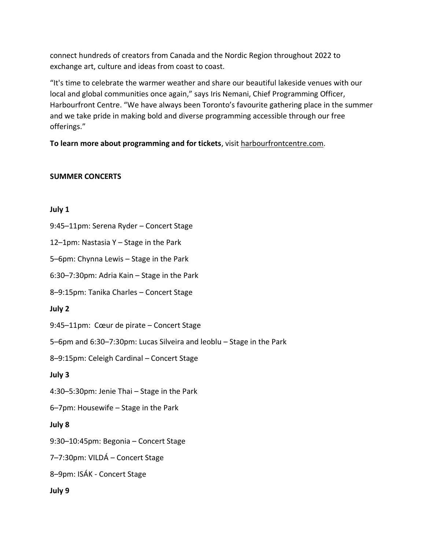connect hundreds of creators from Canada and the Nordic Region throughout 2022 to exchange art, culture and ideas from coast to coast.

"It's time to celebrate the warmer weather and share our beautiful lakeside venues with our local and global communities once again," says Iris Nemani, Chief Programming Officer, Harbourfront Centre. "We have always been Toronto's favourite gathering place in the summer and we take pride in making bold and diverse programming accessible through our free offerings."

**To learn more about programming and for tickets**, visit harbourfrontcentre.com.

# **SUMMER CONCERTS**

#### **July 1**

9:45–11pm: Serena Ryder – Concert Stage

12–1pm: Nastasia Y – Stage in the Park

5–6pm: Chynna Lewis – Stage in the Park

6:30–7:30pm: Adria Kain – Stage in the Park

8–9:15pm: Tanika Charles – Concert Stage

# **July 2**

9:45–11pm: Cœur de pirate – Concert Stage

5–6pm and 6:30–7:30pm: Lucas Silveira and leoblu – Stage in the Park

8–9:15pm: Celeigh Cardinal – Concert Stage

#### **July 3**

4:30–5:30pm: Jenie Thai – Stage in the Park

6–7pm: Housewife – Stage in the Park

# **July 8**

9:30–10:45pm: Begonia – Concert Stage

7–7:30pm: VILDÁ – Concert Stage

8–9pm: ISÁK - Concert Stage

#### **July 9**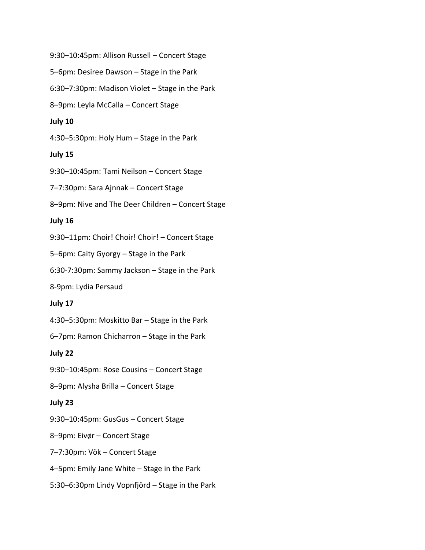9:30–10:45pm: Allison Russell – Concert Stage 5–6pm: Desiree Dawson – Stage in the Park 6:30–7:30pm: Madison Violet – Stage in the Park 8–9pm: Leyla McCalla – Concert Stage **July 10** 4:30–5:30pm: Holy Hum – Stage in the Park **July 15** 9:30–10:45pm: Tami Neilson – Concert Stage 7–7:30pm: Sara Ajnnak – Concert Stage 8–9pm: Nive and The Deer Children – Concert Stage **July 16** 9:30–11pm: Choir! Choir! Choir! – Concert Stage 5–6pm: Caity Gyorgy – Stage in the Park 6:30-7:30pm: Sammy Jackson – Stage in the Park 8-9pm: Lydia Persaud **July 17** 4:30–5:30pm: Moskitto Bar – Stage in the Park 6–7pm: Ramon Chicharron – Stage in the Park **July 22** 9:30–10:45pm: Rose Cousins – Concert Stage 8–9pm: Alysha Brilla – Concert Stage **July 23** 9:30–10:45pm: GusGus – Concert Stage 8–9pm: Eivør – Concert Stage 7–7:30pm: Vök – Concert Stage

4–5pm: Emily Jane White – Stage in the Park

5:30–6:30pm Lindy Vopnfjörd – Stage in the Park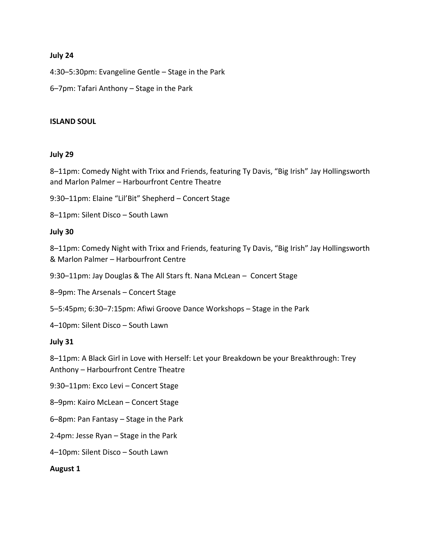#### **July 24**

4:30–5:30pm: Evangeline Gentle – Stage in the Park

6–7pm: Tafari Anthony – Stage in the Park

#### **ISLAND SOUL**

#### **July 29**

8–11pm: Comedy Night with Trixx and Friends, featuring Ty Davis, "Big Irish" Jay Hollingsworth and Marlon Palmer – Harbourfront Centre Theatre

9:30–11pm: Elaine "Lil'Bit" Shepherd – Concert Stage

8–11pm: Silent Disco – South Lawn

#### **July 30**

8–11pm: Comedy Night with Trixx and Friends, featuring Ty Davis, "Big Irish" Jay Hollingsworth & Marlon Palmer – Harbourfront Centre

9:30–11pm: Jay Douglas & The All Stars ft. Nana McLean – Concert Stage

8–9pm: The Arsenals – Concert Stage

5–5:45pm; 6:30–7:15pm: Afiwi Groove Dance Workshops – Stage in the Park

4–10pm: Silent Disco – South Lawn

#### **July 31**

8–11pm: A Black Girl in Love with Herself: Let your Breakdown be your Breakthrough: Trey

Anthony – Harbourfront Centre Theatre

9:30–11pm: Exco Levi – Concert Stage

8–9pm: Kairo McLean – Concert Stage

6–8pm: Pan Fantasy – Stage in the Park

2-4pm: Jesse Ryan – Stage in the Park

4–10pm: Silent Disco – South Lawn

#### **August 1**